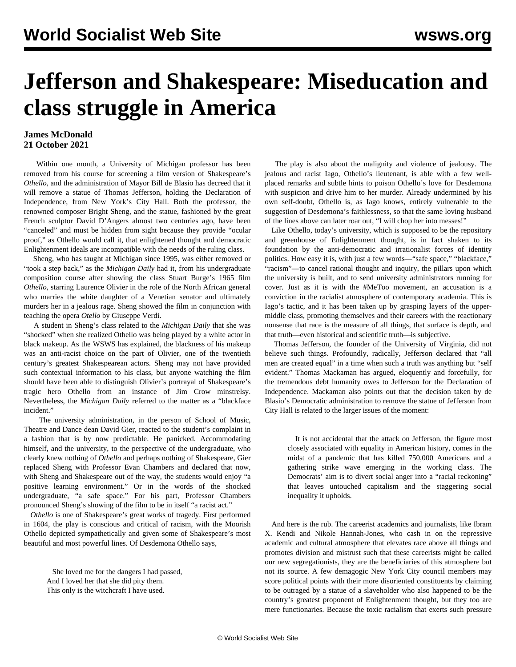## **Jefferson and Shakespeare: Miseducation and class struggle in America**

## **James McDonald 21 October 2021**

 Within one month, a University of Michigan professor has been removed from his course for screening a film version of Shakespeare's *Othello*, and the administration of Mayor Bill de Blasio has decreed that it will remove a statue of Thomas Jefferson, holding the Declaration of Independence, from New York's City Hall. Both the professor, the renowned composer Bright Sheng, and the statue, fashioned by the great French sculptor David D'Angers almost two centuries ago, have been "canceled" and must be hidden from sight because they provide "ocular proof," as Othello would call it, that enlightened thought and democratic Enlightenment ideals are incompatible with the needs of the ruling class.

 Sheng, who has taught at Michigan since 1995, was either removed or "took a step back," as the *Michigan Daily* had it, from his undergraduate composition course after showing the class Stuart Burge's 1965 film *Othello*, starring Laurence Olivier in the role of the North African general who marries the white daughter of a Venetian senator and ultimately murders her in a jealous rage. Sheng showed the film in conjunction with teaching the opera *Otello* by Giuseppe Verdi.

 A student in Sheng's class related to the *Michigan Daily* that she was "shocked" when she realized Othello was being played by a white actor in black makeup. As the WSWS has explained, the blackness of his makeup was an anti-racist choice on the part of Olivier, one of the twentieth century's greatest Shakespearean actors. Sheng may not have provided such contextual information to his class, but anyone watching the film should have been able to distinguish Olivier's portrayal of Shakespeare's tragic hero Othello from an instance of Jim Crow minstrelsy. Nevertheless, the *Michigan Daily* referred to the matter as a "blackface incident."

 The university administration, in the person of School of Music, Theatre and Dance dean David Gier, reacted to the student's complaint in a fashion that is by now predictable. He panicked. Accommodating himself, and the university, to the perspective of the undergraduate, who clearly knew nothing of *Othello* and perhaps nothing of Shakespeare, Gier replaced Sheng with Professor Evan Chambers and declared that now, with Sheng and Shakespeare out of the way, the students would enjoy "a positive learning environment." Or in the words of the shocked undergraduate, "a safe space." For his part, Professor Chambers pronounced Sheng's showing of the film to be in itself "a racist act."

 *Othello* is one of Shakespeare's great works of tragedy. First performed in 1604, the play is conscious and critical of racism, with the Moorish Othello depicted sympathetically and given some of Shakespeare's most beautiful and most powerful lines. Of Desdemona Othello says,

 She loved me for the dangers I had passed, And I loved her that she did pity them. This only is the witchcraft I have used.

 The play is also about the malignity and violence of jealousy. The jealous and racist Iago, Othello's lieutenant, is able with a few wellplaced remarks and subtle hints to poison Othello's love for Desdemona with suspicion and drive him to her murder. Already undermined by his own self-doubt, Othello is, as Iago knows, entirely vulnerable to the suggestion of Desdemona's faithlessness, so that the same loving husband of the lines above can later roar out, "I will chop her into messes!"

 Like Othello, today's university, which is supposed to be the repository and greenhouse of Enlightenment thought, is in fact shaken to its foundation by the anti-democratic and irrationalist forces of identity politics. How easy it is, with just a few words—"safe space," "blackface," "racism"—to cancel rational thought and inquiry, the pillars upon which the university is built, and to send university administrators running for cover. Just as it is with the #MeToo movement, an accusation is a conviction in the racialist atmosphere of contemporary academia. This is Iago's tactic, and it has been taken up by grasping layers of the uppermiddle class, promoting themselves and their careers with the reactionary nonsense that race is the measure of all things, that surface is depth, and that truth—even historical and scientific truth—is subjective.

 Thomas Jefferson, the founder of the University of Virginia, did not believe such things. Profoundly, radically, Jefferson declared that "all men are created equal" in a time when such a truth was anything but "self evident." Thomas Mackaman has [argued](/en/articles/2021/10/19/pers-o19.html), eloquently and forcefully, for the tremendous debt humanity owes to Jefferson for the Declaration of Independence. Mackaman also points out that the decision taken by de Blasio's Democratic administration to remove the statue of Jefferson from City Hall is related to the larger issues of the moment:

 It is not accidental that the attack on Jefferson, the figure most closely associated with equality in American history, comes in the midst of a pandemic that has killed 750,000 Americans and a gathering strike wave emerging in the working class. The Democrats' aim is to divert social anger into a "racial reckoning" that leaves untouched capitalism and the staggering social inequality it upholds.

 And here is the rub. The careerist academics and journalists, like Ibram X. Kendi and Nikole Hannah-Jones, who cash in on the repressive academic and cultural atmosphere that elevates race above all things and promotes division and mistrust such that these careerists might be called our new segregationists, they are the beneficiaries of this atmosphere but not its source. A few demagogic New York City council members may score political points with their more disoriented constituents by claiming to be outraged by a statue of a slaveholder who also happened to be the country's greatest proponent of Enlightenment thought, but they too are mere functionaries. Because the toxic racialism that exerts such pressure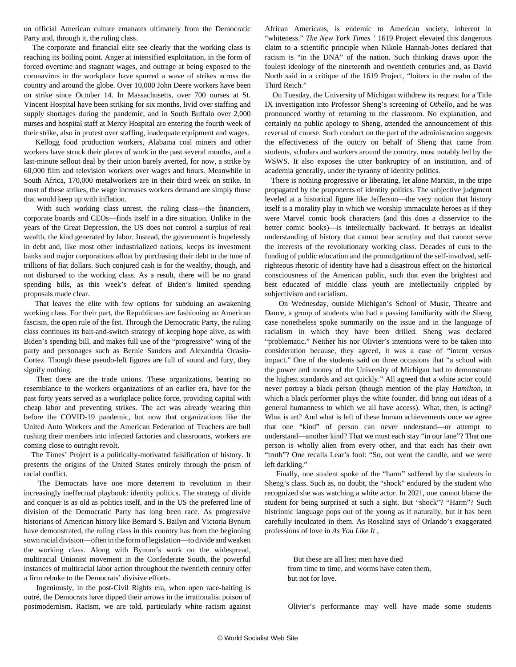on official American culture emanates ultimately from the Democratic Party and, through it, the ruling class.

 The corporate and financial elite see clearly that the working class is reaching its boiling point. Anger at intensified exploitation, in the form of forced overtime and stagnant wages, and outrage at being exposed to the coronavirus in the workplace have spurred a wave of strikes across the country and around the globe. Over 10,000 John Deere workers have been on strike since October 14. In Massachusetts, over 700 nurses at St. Vincent Hospital have been striking for six months, livid over staffing and supply shortages during the pandemic, and in South Buffalo over 2,000 nurses and hospital staff at Mercy Hospital are entering the fourth week of their strike, also in protest over staffing, inadequate equipment and wages.

 Kellogg food production workers, Alabama coal miners and other workers have struck their places of work in the past several months, and a last-minute sellout deal by their union barely averted, for now, a strike by 60,000 film and television workers over wages and hours. Meanwhile in South Africa, 170,000 metalworkers are in their third week on strike. In most of these strikes, the wage increases workers demand are simply those that would keep up with inflation.

 With such working class unrest, the ruling class—the financiers, corporate boards and CEOs—finds itself in a dire situation. Unlike in the years of the Great Depression, the US does not control a surplus of real wealth, the kind generated by labor. Instead, the government is hopelessly in debt and, like most other industrialized nations, keeps its investment banks and major corporations afloat by purchasing their debt to the tune of trillions of fiat dollars. Such conjured cash is for the wealthy, though, and not disbursed to the working class. As a result, there will be no grand spending bills, as this week's defeat of Biden's limited spending proposals made clear.

 That leaves the elite with few options for subduing an awakening working class. For their part, the Republicans are fashioning an American fascism, the open rule of the fist. Through the Democratic Party, the ruling class continues its bait-and-switch strategy of keeping hope alive, as with Biden's spending bill, and makes full use of the "progressive" wing of the party and personages such as Bernie Sanders and Alexandria Ocasio-Cortez. Though these pseudo-left figures are full of sound and fury, they signify nothing.

 Then there are the trade unions. These organizations, bearing no resemblance to the workers organizations of an earlier era, have for the past forty years served as a workplace police force, providing capital with cheap labor and preventing strikes. The act was already wearing thin before the COVID-19 pandemic, but now that organizations like the United Auto Workers and the American Federation of Teachers are bull rushing their members into infected factories and classrooms, workers are coming close to outright revolt.

 The Times' Project is a politically-motivated falsification of history. It presents the origins of the United States entirely through the prism of racial conflict.

 The Democrats have one more deterrent to revolution in their increasingly ineffectual playbook: identity politics. The strategy of divide and conquer is as old as politics itself, and in the US the preferred line of division of the Democratic Party has long been race. As progressive historians of American history like Bernard S. Bailyn and Victoria Bynum have demonstrated, the ruling class in this country has from the beginning sown racial division—often in the form of legislation—to divide and weaken the working class. Along with Bynum's work on the widespread, multiracial Unionist movement in the Confederate South, the powerful instances of multiracial labor action throughout the twentieth century offer a firm rebuke to the Democrats' divisive efforts.

 Ingeniously, in the post-Civil Rights era, when open race-baiting is outré, the Democrats have dipped their arrows in the irrationalist poison of postmodernism. Racism, we are told, particularly white racism against African Americans, is endemic to American society, inherent in "whiteness." *The New York Times* ' 1619 Project elevated this dangerous claim to a scientific principle when Nikole Hannah-Jones declared that racism is "in the DNA" of the nation. Such thinking draws upon the foulest ideology of the nineteenth and twentieth centuries and, as David North said in a critique of the 1619 Project, "loiters in the realm of the Third Reich."

 On Tuesday, the University of Michigan withdrew its request for a Title IX investigation into Professor Sheng's screening of *Othello*, and he was pronounced worthy of returning to the classroom. No explanation, and certainly no public apology to Sheng, attended the announcement of this reversal of course. Such conduct on the part of the administration suggests the effectiveness of the outcry on behalf of Sheng that came from students, scholars and workers around the country, most notably led by the WSWS. It also exposes the utter bankruptcy of an institution, and of academia generally, under the tyranny of identity politics.

 There is nothing progressive or liberating, let alone Marxist, in the tripe propagated by the proponents of identity politics. The subjective judgment leveled at a historical figure like Jefferson—the very notion that history itself is a morality play in which we worship immaculate heroes as if they were Marvel comic book characters (and this does a disservice to the better comic books)—is intellectually backward. It betrays an idealist understanding of history that cannot bear scrutiny and that cannot serve the interests of the revolutionary working class. Decades of cuts to the funding of public education and the promulgation of the self-involved, selfrighteous rhetoric of identity have had a disastrous effect on the historical consciousness of the American public, such that even the brightest and best educated of middle class youth are intellectually crippled by subjectivism and racialism.

 On Wednesday, outside Michigan's School of Music, Theatre and Dance, a group of students who had a passing familiarity with the Sheng case nonetheless spoke summarily on the issue and in the language of racialism in which they have been drilled. Sheng was declared "problematic." Neither his nor Olivier's intentions were to be taken into consideration because, they agreed, it was a case of "intent versus impact." One of the students said on three occasions that "a school with the power and money of the University of Michigan had to demonstrate the highest standards and act quickly." All agreed that a white actor could never portray a black person (though mention of the play *Hamilton,* in which a black performer plays the white founder, did bring out ideas of a general humanness to which we all have access). What, then, is acting? What is art? And what is left of these human achievements once we agree that one "kind" of person can never understand—or attempt to understand—another kind? That we must each stay "in our lane"? That one person is wholly alien from every other, and that each has their own "truth"? One recalls Lear's fool: "So, out went the candle, and we were left darkling."

 Finally, one student spoke of the "harm" suffered by the students in Sheng's class. Such as, no doubt, the "shock" endured by the student who recognized she was watching a white actor. In 2021, one cannot blame the student for being surprised at such a sight. But "shock"? "Harm"? Such histrionic language pops out of the young as if naturally, but it has been carefully inculcated in them. As Rosalind says of Orlando's exaggerated professions of love in *As You Like It* ,

 But these are all lies; men have died from time to time, and worms have eaten them, but not for love.

Olivier's performance may well have made some students